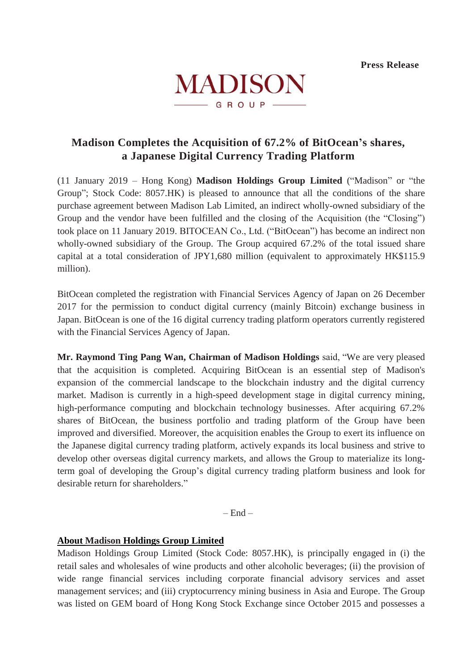

# **Madison Completes the Acquisition of 67.2% of BitOcean's shares, a Japanese Digital Currency Trading Platform**

(11 January 2019 – Hong Kong) **Madison Holdings Group Limited** ("Madison" or "the Group"; Stock Code: 8057.HK) is pleased to announce that all the conditions of the share purchase agreement between Madison Lab Limited, an indirect wholly-owned subsidiary of the Group and the vendor have been fulfilled and the closing of the Acquisition (the "Closing") took place on 11 January 2019. BITOCEAN Co., Ltd. ("BitOcean") has become an indirect non wholly-owned subsidiary of the Group. The Group acquired 67.2% of the total issued share capital at a total consideration of JPY1,680 million (equivalent to approximately HK\$115.9 million).

BitOcean completed the registration with Financial Services Agency of Japan on 26 December 2017 for the permission to conduct digital currency (mainly Bitcoin) exchange business in Japan. BitOcean is one of the 16 digital currency trading platform operators currently registered with the Financial Services Agency of Japan.

**Mr. Raymond Ting Pang Wan, Chairman of Madison Holdings** said, "We are very pleased that the acquisition is completed. Acquiring BitOcean is an essential step of Madison's expansion of the commercial landscape to the blockchain industry and the digital currency market. Madison is currently in a high-speed development stage in digital currency mining, high-performance computing and blockchain technology businesses. After acquiring 67.2% shares of BitOcean, the business portfolio and trading platform of the Group have been improved and diversified. Moreover, the acquisition enables the Group to exert its influence on the Japanese digital currency trading platform, actively expands its local business and strive to develop other overseas digital currency markets, and allows the Group to materialize its longterm goal of developing the Group's digital currency trading platform business and look for desirable return for shareholders."

 $-$  End  $-$ 

# **About Madison Holdings Group Limited**

Madison Holdings Group Limited (Stock Code: 8057.HK), is principally engaged in (i) the retail sales and wholesales of wine products and other alcoholic beverages; (ii) the provision of wide range financial services including corporate financial advisory services and asset management services; and (iii) cryptocurrency mining business in Asia and Europe. The Group was listed on GEM board of Hong Kong Stock Exchange since October 2015 and possesses a